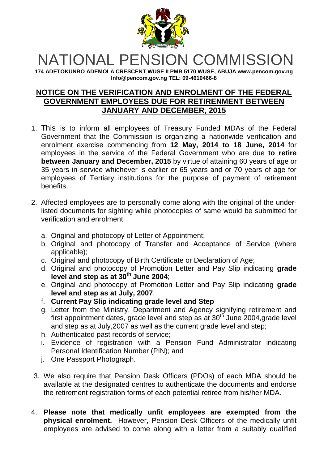

## NATIONAL PENSION COMMISSION

**174 ADETOKUNBO ADEMOLA CRESCENT WUSE II PMB 5170 WUSE, ABUJA www.pencom.gov.ng Info@pencom.gov.ng TEL: 09-4610466-8**

## **NOTICE ON THE VERIFICATION AND ENROLMENT OF THE FEDERAL GOVERNMENT EMPLOYEES DUE FOR RETIRENMENT BETWEEN JANUARY AND DECEMBER, 2015**

- 1. This is to inform all employees of Treasury Funded MDAs of the Federal Government that the Commission is organizing a nationwide verification and enrolment exercise commencing from **12 May, 2014 to 18 June, 2014** for employees in the service of the Federal Government who are due **to retire between January and December, 2015** by virtue of attaining 60 years of age or 35 years in service whichever is earlier or 65 years and or 70 years of age for employees of Tertiary institutions for the purpose of payment of retirement benefits.
- 2. Affected employees are to personally come along with the original of the underlisted documents for sighting while photocopies of same would be submitted for verification and enrolment:
	- a. Original and photocopy of Letter of Appointment;
	- b. Original and photocopy of Transfer and Acceptance of Service (where applicable);
	- c. Original and photocopy of Birth Certificate or Declaration of Age;
	- d. Original and photocopy of Promotion Letter and Pay Slip indicating **grade level and step as at 30th June 2004**;
	- e. Original and photocopy of Promotion Letter and Pay Slip indicating **grade level and step as at July, 2007**;
	- f. **Current Pay Slip indicating grade level and Step**
	- g. Letter from the Ministry, Department and Agency signifying retirement and first appointment dates, grade level and step as at  $30<sup>th</sup>$  June 2004, grade level and step as at July,2007 as well as the current grade level and step;
	- h. Authenticated past records of service;
	- i. Evidence of registration with a Pension Fund Administrator indicating Personal Identification Number (PIN); and
	- j. One Passport Photograph.
- 3. We also require that Pension Desk Officers (PDOs) of each MDA should be available at the designated centres to authenticate the documents and endorse the retirement registration forms of each potential retiree from his/her MDA.
- 4. **Please note that medically unfit employees are exempted from the physical enrolment.** However, Pension Desk Officers of the medically unfit employees are advised to come along with a letter from a suitably qualified